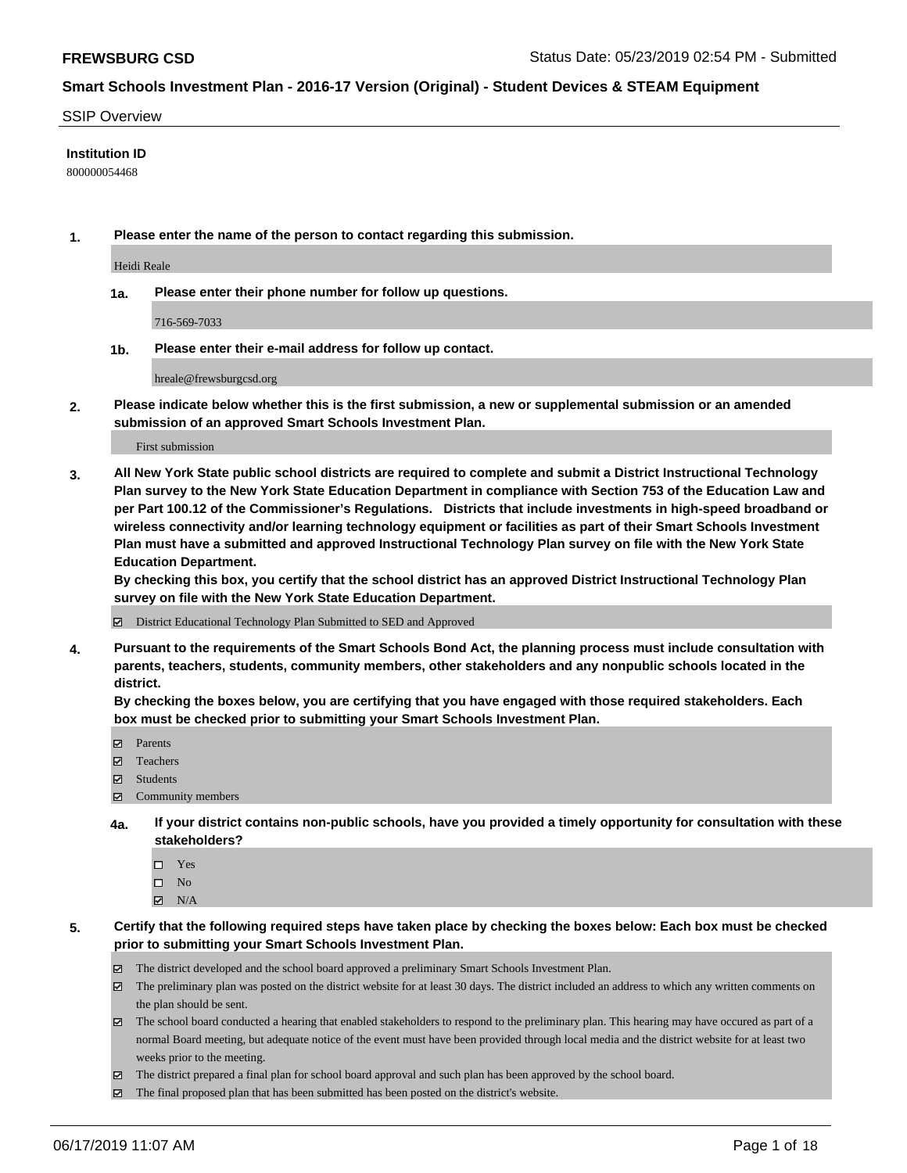#### SSIP Overview

#### **Institution ID**

800000054468

**1. Please enter the name of the person to contact regarding this submission.**

Heidi Reale

**1a. Please enter their phone number for follow up questions.**

716-569-7033

**1b. Please enter their e-mail address for follow up contact.**

hreale@frewsburgcsd.org

**2. Please indicate below whether this is the first submission, a new or supplemental submission or an amended submission of an approved Smart Schools Investment Plan.**

First submission

**3. All New York State public school districts are required to complete and submit a District Instructional Technology Plan survey to the New York State Education Department in compliance with Section 753 of the Education Law and per Part 100.12 of the Commissioner's Regulations. Districts that include investments in high-speed broadband or wireless connectivity and/or learning technology equipment or facilities as part of their Smart Schools Investment Plan must have a submitted and approved Instructional Technology Plan survey on file with the New York State Education Department.** 

**By checking this box, you certify that the school district has an approved District Instructional Technology Plan survey on file with the New York State Education Department.**

District Educational Technology Plan Submitted to SED and Approved

**4. Pursuant to the requirements of the Smart Schools Bond Act, the planning process must include consultation with parents, teachers, students, community members, other stakeholders and any nonpublic schools located in the district.** 

**By checking the boxes below, you are certifying that you have engaged with those required stakeholders. Each box must be checked prior to submitting your Smart Schools Investment Plan.**

- Parents
- Teachers
- Students
- $\Xi$  Community members
- **4a. If your district contains non-public schools, have you provided a timely opportunity for consultation with these stakeholders?**
	- □ Yes
	- $\square$  No
	- $N/A$

**5. Certify that the following required steps have taken place by checking the boxes below: Each box must be checked prior to submitting your Smart Schools Investment Plan.**

- The district developed and the school board approved a preliminary Smart Schools Investment Plan.
- $\boxtimes$  The preliminary plan was posted on the district website for at least 30 days. The district included an address to which any written comments on the plan should be sent.
- The school board conducted a hearing that enabled stakeholders to respond to the preliminary plan. This hearing may have occured as part of a normal Board meeting, but adequate notice of the event must have been provided through local media and the district website for at least two weeks prior to the meeting.
- The district prepared a final plan for school board approval and such plan has been approved by the school board.
- $\boxtimes$  The final proposed plan that has been submitted has been posted on the district's website.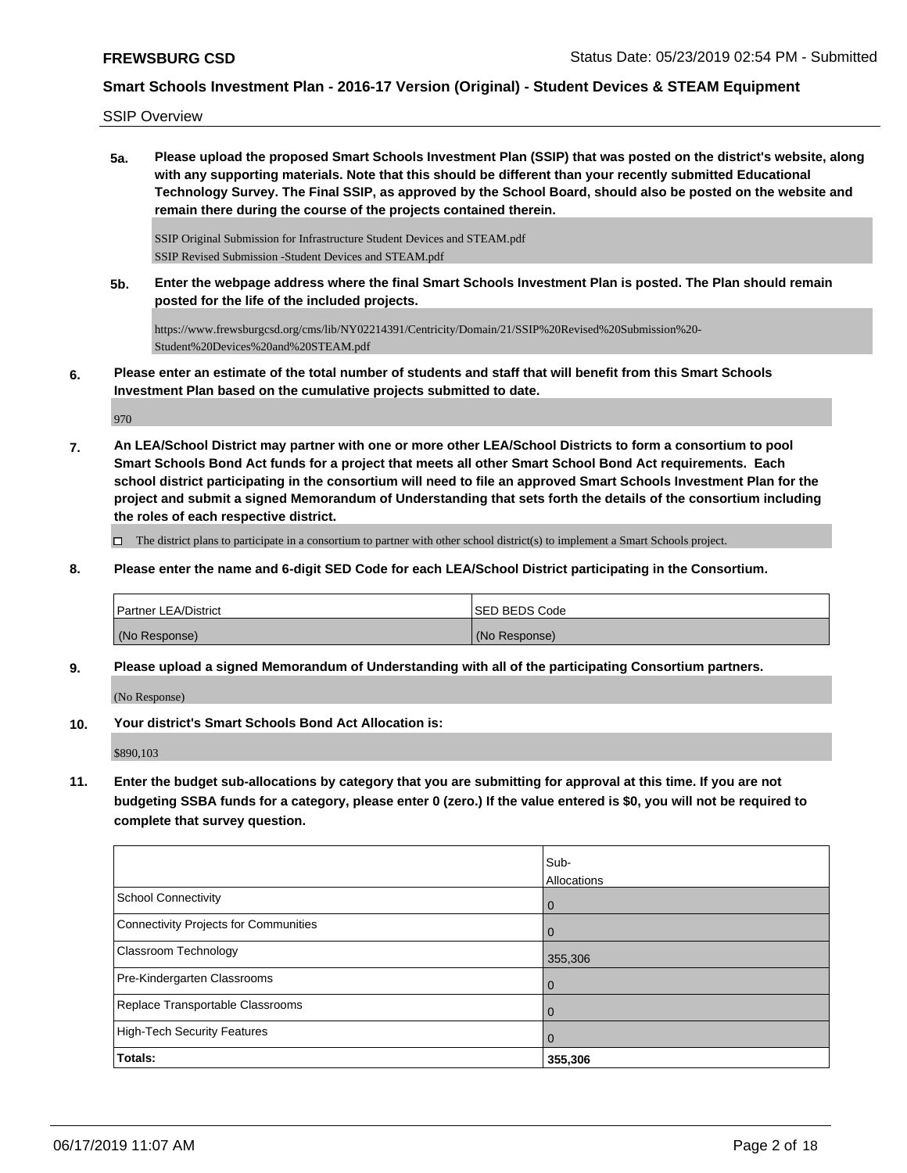SSIP Overview

**5a. Please upload the proposed Smart Schools Investment Plan (SSIP) that was posted on the district's website, along with any supporting materials. Note that this should be different than your recently submitted Educational Technology Survey. The Final SSIP, as approved by the School Board, should also be posted on the website and remain there during the course of the projects contained therein.**

SSIP Original Submission for Infrastructure Student Devices and STEAM.pdf SSIP Revised Submission -Student Devices and STEAM.pdf

**5b. Enter the webpage address where the final Smart Schools Investment Plan is posted. The Plan should remain posted for the life of the included projects.**

https://www.frewsburgcsd.org/cms/lib/NY02214391/Centricity/Domain/21/SSIP%20Revised%20Submission%20- Student%20Devices%20and%20STEAM.pdf

**6. Please enter an estimate of the total number of students and staff that will benefit from this Smart Schools Investment Plan based on the cumulative projects submitted to date.**

970

**7. An LEA/School District may partner with one or more other LEA/School Districts to form a consortium to pool Smart Schools Bond Act funds for a project that meets all other Smart School Bond Act requirements. Each school district participating in the consortium will need to file an approved Smart Schools Investment Plan for the project and submit a signed Memorandum of Understanding that sets forth the details of the consortium including the roles of each respective district.**

 $\Box$  The district plans to participate in a consortium to partner with other school district(s) to implement a Smart Schools project.

**8. Please enter the name and 6-digit SED Code for each LEA/School District participating in the Consortium.**

| <b>Partner LEA/District</b> | <b>ISED BEDS Code</b> |
|-----------------------------|-----------------------|
| (No Response)               | (No Response)         |

**9. Please upload a signed Memorandum of Understanding with all of the participating Consortium partners.**

(No Response)

**10. Your district's Smart Schools Bond Act Allocation is:**

\$890,103

**11. Enter the budget sub-allocations by category that you are submitting for approval at this time. If you are not budgeting SSBA funds for a category, please enter 0 (zero.) If the value entered is \$0, you will not be required to complete that survey question.**

|                                       | Sub-           |
|---------------------------------------|----------------|
|                                       | Allocations    |
| School Connectivity                   | $\overline{0}$ |
| Connectivity Projects for Communities | 0              |
| Classroom Technology                  | 355,306        |
| Pre-Kindergarten Classrooms           | $\Omega$       |
| Replace Transportable Classrooms      | 0              |
| High-Tech Security Features           | $\mathbf 0$    |
| <b>Totals:</b>                        | 355,306        |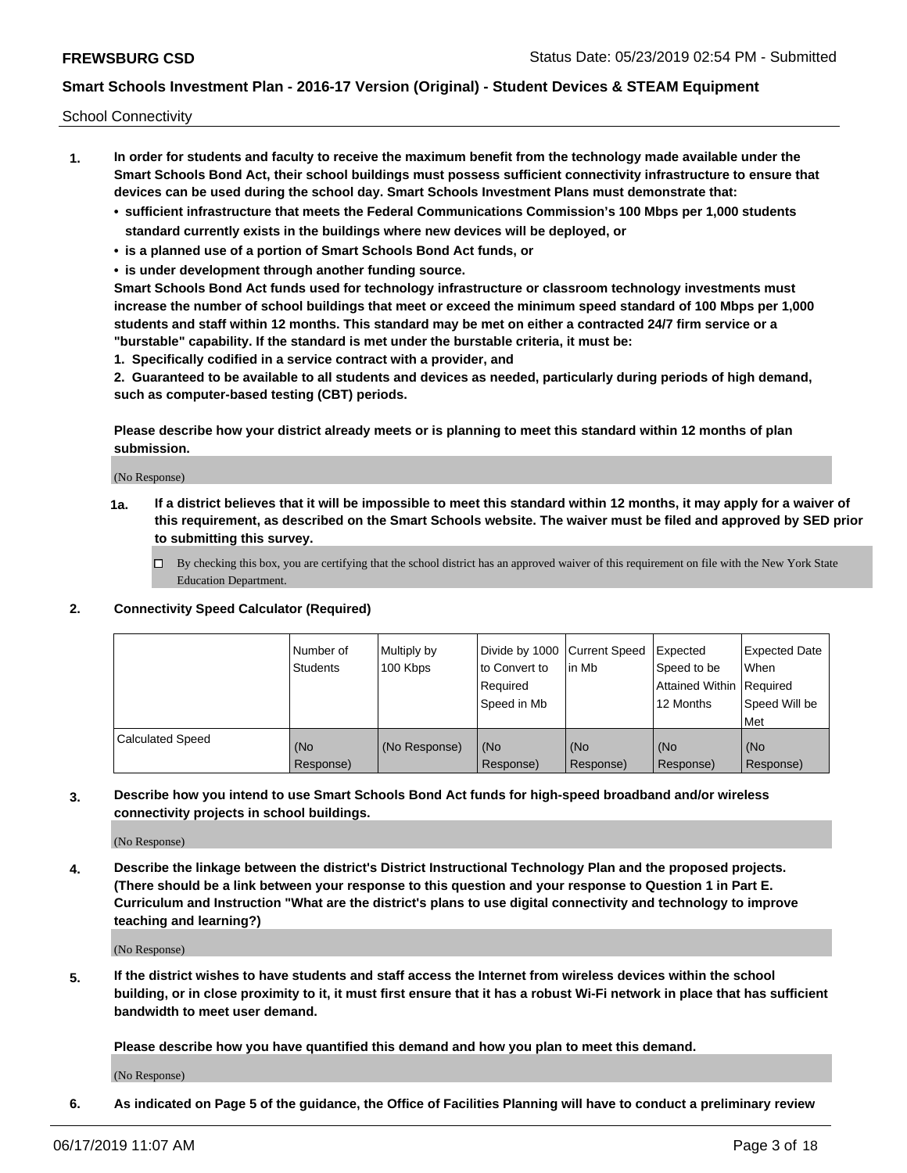School Connectivity

- **1. In order for students and faculty to receive the maximum benefit from the technology made available under the Smart Schools Bond Act, their school buildings must possess sufficient connectivity infrastructure to ensure that devices can be used during the school day. Smart Schools Investment Plans must demonstrate that:**
	- **• sufficient infrastructure that meets the Federal Communications Commission's 100 Mbps per 1,000 students standard currently exists in the buildings where new devices will be deployed, or**
	- **• is a planned use of a portion of Smart Schools Bond Act funds, or**
	- **• is under development through another funding source.**

**Smart Schools Bond Act funds used for technology infrastructure or classroom technology investments must increase the number of school buildings that meet or exceed the minimum speed standard of 100 Mbps per 1,000 students and staff within 12 months. This standard may be met on either a contracted 24/7 firm service or a "burstable" capability. If the standard is met under the burstable criteria, it must be:**

**1. Specifically codified in a service contract with a provider, and**

**2. Guaranteed to be available to all students and devices as needed, particularly during periods of high demand, such as computer-based testing (CBT) periods.**

**Please describe how your district already meets or is planning to meet this standard within 12 months of plan submission.**

(No Response)

**1a. If a district believes that it will be impossible to meet this standard within 12 months, it may apply for a waiver of this requirement, as described on the Smart Schools website. The waiver must be filed and approved by SED prior to submitting this survey.**

 $\Box$  By checking this box, you are certifying that the school district has an approved waiver of this requirement on file with the New York State Education Department.

#### **2. Connectivity Speed Calculator (Required)**

|                         | l Number of<br>Students | Multiply by<br>100 Kbps | Divide by 1000 Current Speed<br>to Convert to<br>Required<br>l Speed in Mb | lin Mb           | Expected<br>Speed to be<br>Attained Within   Required<br>12 Months | <b>Expected Date</b><br>When<br>Speed Will be<br>Met |
|-------------------------|-------------------------|-------------------------|----------------------------------------------------------------------------|------------------|--------------------------------------------------------------------|------------------------------------------------------|
| <b>Calculated Speed</b> | (No<br>Response)        | (No Response)           | (No<br>Response)                                                           | (No<br>Response) | (No<br>Response)                                                   | (No<br>Response)                                     |

**3. Describe how you intend to use Smart Schools Bond Act funds for high-speed broadband and/or wireless connectivity projects in school buildings.**

(No Response)

**4. Describe the linkage between the district's District Instructional Technology Plan and the proposed projects. (There should be a link between your response to this question and your response to Question 1 in Part E. Curriculum and Instruction "What are the district's plans to use digital connectivity and technology to improve teaching and learning?)**

(No Response)

**5. If the district wishes to have students and staff access the Internet from wireless devices within the school building, or in close proximity to it, it must first ensure that it has a robust Wi-Fi network in place that has sufficient bandwidth to meet user demand.**

**Please describe how you have quantified this demand and how you plan to meet this demand.**

(No Response)

**6. As indicated on Page 5 of the guidance, the Office of Facilities Planning will have to conduct a preliminary review**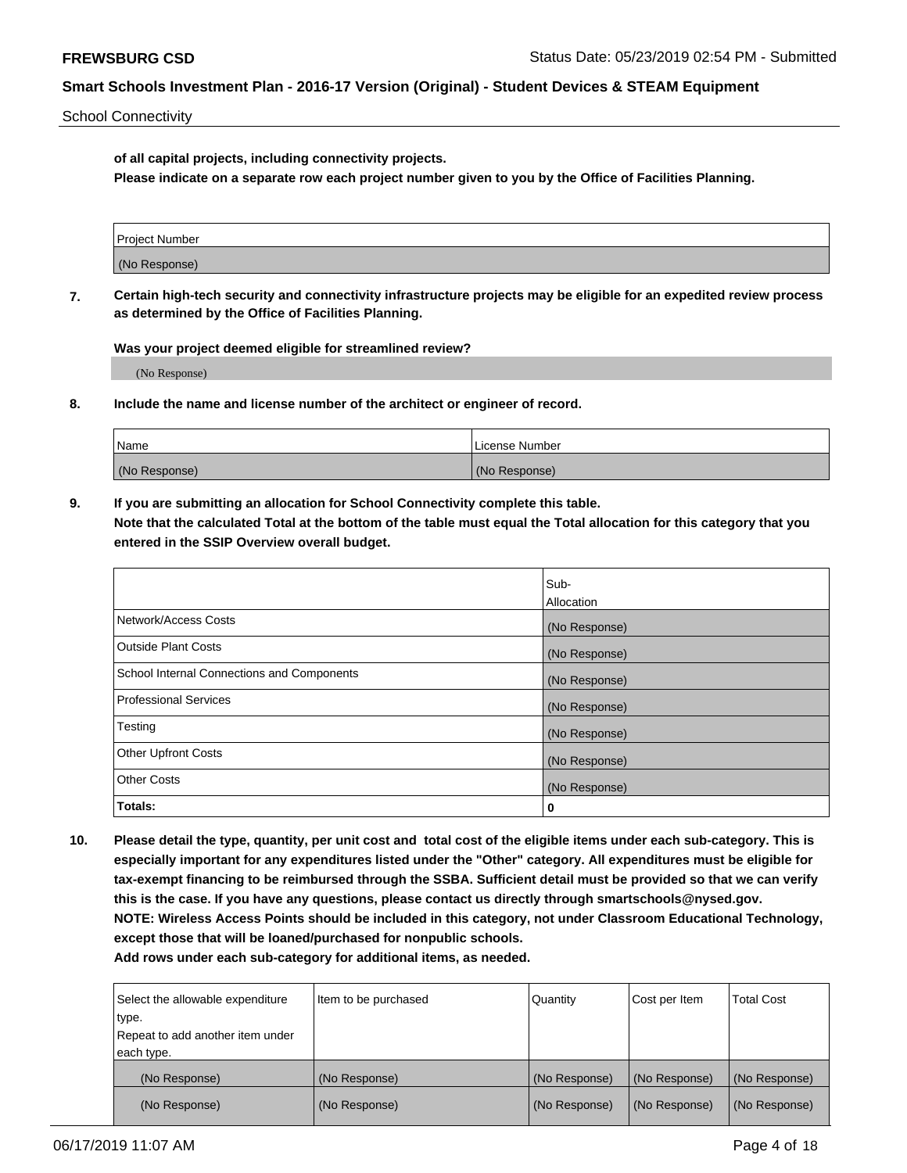School Connectivity

**of all capital projects, including connectivity projects.**

**Please indicate on a separate row each project number given to you by the Office of Facilities Planning.**

| Project Number |  |
|----------------|--|
|                |  |
| (No Response)  |  |
|                |  |

**7. Certain high-tech security and connectivity infrastructure projects may be eligible for an expedited review process as determined by the Office of Facilities Planning.**

**Was your project deemed eligible for streamlined review?**

(No Response)

**8. Include the name and license number of the architect or engineer of record.**

| Name          | License Number |
|---------------|----------------|
| (No Response) | (No Response)  |

**9. If you are submitting an allocation for School Connectivity complete this table. Note that the calculated Total at the bottom of the table must equal the Total allocation for this category that you entered in the SSIP Overview overall budget.** 

|                                            | Sub-              |
|--------------------------------------------|-------------------|
|                                            | <b>Allocation</b> |
| Network/Access Costs                       | (No Response)     |
| <b>Outside Plant Costs</b>                 | (No Response)     |
| School Internal Connections and Components | (No Response)     |
| <b>Professional Services</b>               | (No Response)     |
| Testing                                    | (No Response)     |
| <b>Other Upfront Costs</b>                 | (No Response)     |
| <b>Other Costs</b>                         | (No Response)     |
| Totals:                                    | 0                 |

**10. Please detail the type, quantity, per unit cost and total cost of the eligible items under each sub-category. This is especially important for any expenditures listed under the "Other" category. All expenditures must be eligible for tax-exempt financing to be reimbursed through the SSBA. Sufficient detail must be provided so that we can verify this is the case. If you have any questions, please contact us directly through smartschools@nysed.gov. NOTE: Wireless Access Points should be included in this category, not under Classroom Educational Technology, except those that will be loaned/purchased for nonpublic schools.**

| Select the allowable expenditure | Item to be purchased | Quantity      | Cost per Item | <b>Total Cost</b> |
|----------------------------------|----------------------|---------------|---------------|-------------------|
| type.                            |                      |               |               |                   |
| Repeat to add another item under |                      |               |               |                   |
| each type.                       |                      |               |               |                   |
| (No Response)                    | (No Response)        | (No Response) | (No Response) | (No Response)     |
| (No Response)                    | (No Response)        | (No Response) | (No Response) | (No Response)     |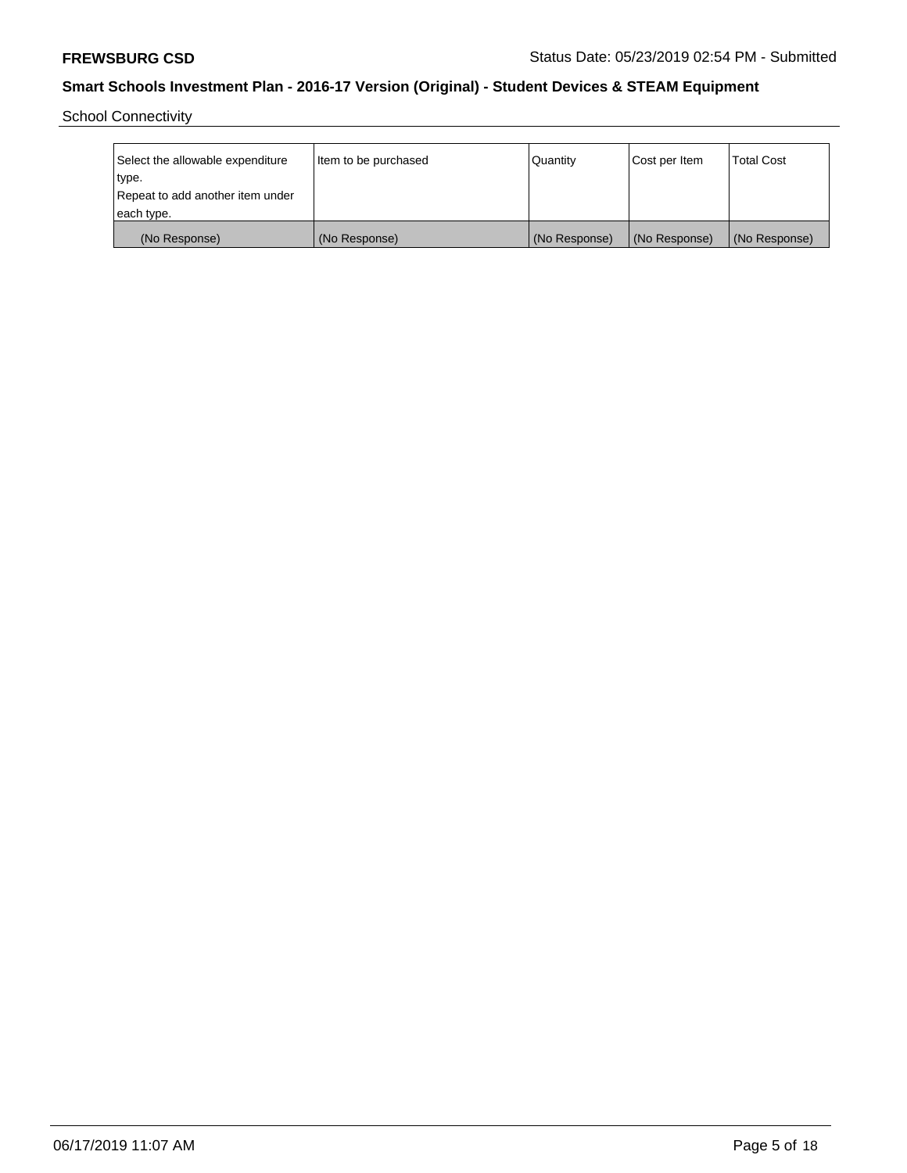School Connectivity

| Select the allowable expenditure<br>type. | Item to be purchased | Quantity      | Cost per Item | <b>Total Cost</b> |
|-------------------------------------------|----------------------|---------------|---------------|-------------------|
| Repeat to add another item under          |                      |               |               |                   |
| each type.                                |                      |               |               |                   |
| (No Response)                             | (No Response)        | (No Response) | (No Response) | (No Response)     |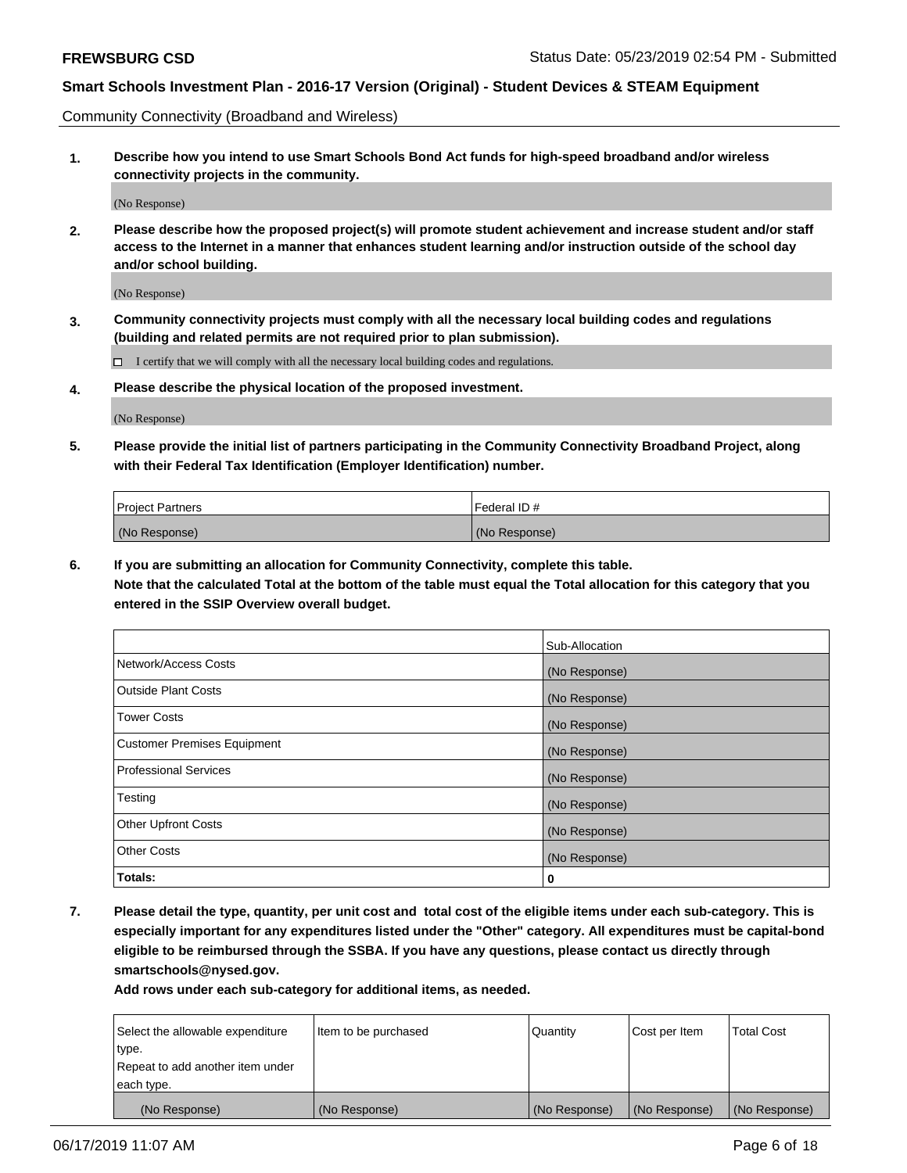Community Connectivity (Broadband and Wireless)

**1. Describe how you intend to use Smart Schools Bond Act funds for high-speed broadband and/or wireless connectivity projects in the community.**

(No Response)

**2. Please describe how the proposed project(s) will promote student achievement and increase student and/or staff access to the Internet in a manner that enhances student learning and/or instruction outside of the school day and/or school building.**

(No Response)

**3. Community connectivity projects must comply with all the necessary local building codes and regulations (building and related permits are not required prior to plan submission).**

 $\Box$  I certify that we will comply with all the necessary local building codes and regulations.

**4. Please describe the physical location of the proposed investment.**

(No Response)

**5. Please provide the initial list of partners participating in the Community Connectivity Broadband Project, along with their Federal Tax Identification (Employer Identification) number.**

| <b>Project Partners</b> | Federal ID#   |
|-------------------------|---------------|
| (No Response)           | (No Response) |

**6. If you are submitting an allocation for Community Connectivity, complete this table.**

**Note that the calculated Total at the bottom of the table must equal the Total allocation for this category that you entered in the SSIP Overview overall budget.**

|                              | Sub-Allocation |
|------------------------------|----------------|
| Network/Access Costs         | (No Response)  |
| Outside Plant Costs          | (No Response)  |
| <b>Tower Costs</b>           | (No Response)  |
| Customer Premises Equipment  | (No Response)  |
| <b>Professional Services</b> | (No Response)  |
| Testing                      | (No Response)  |
| <b>Other Upfront Costs</b>   | (No Response)  |
| <b>Other Costs</b>           | (No Response)  |
| Totals:                      | 0              |

**7. Please detail the type, quantity, per unit cost and total cost of the eligible items under each sub-category. This is especially important for any expenditures listed under the "Other" category. All expenditures must be capital-bond eligible to be reimbursed through the SSBA. If you have any questions, please contact us directly through smartschools@nysed.gov.**

| Select the allowable expenditure | Item to be purchased | Quantity      | Cost per Item | <b>Total Cost</b> |
|----------------------------------|----------------------|---------------|---------------|-------------------|
| type.                            |                      |               |               |                   |
| Repeat to add another item under |                      |               |               |                   |
| each type.                       |                      |               |               |                   |
| (No Response)                    | (No Response)        | (No Response) | (No Response) | (No Response)     |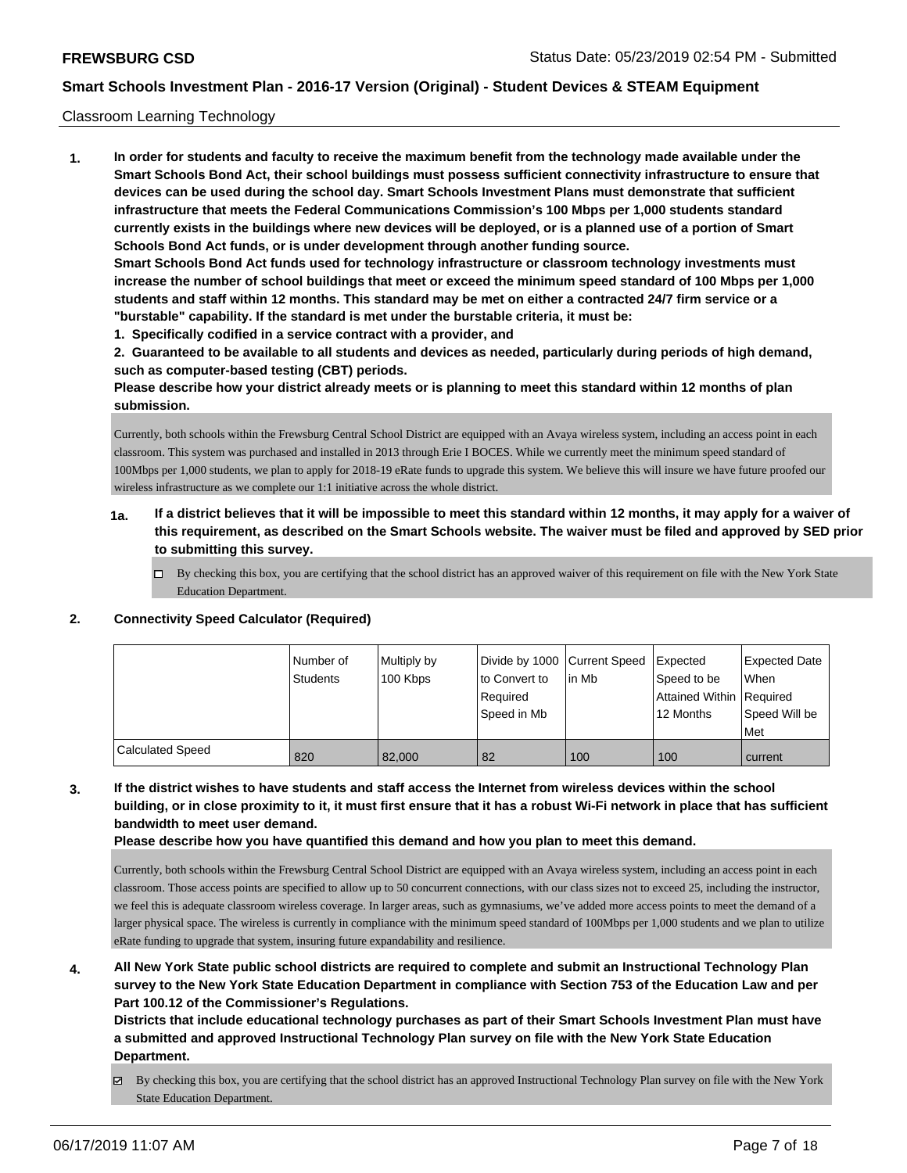#### Classroom Learning Technology

**1. In order for students and faculty to receive the maximum benefit from the technology made available under the Smart Schools Bond Act, their school buildings must possess sufficient connectivity infrastructure to ensure that devices can be used during the school day. Smart Schools Investment Plans must demonstrate that sufficient infrastructure that meets the Federal Communications Commission's 100 Mbps per 1,000 students standard currently exists in the buildings where new devices will be deployed, or is a planned use of a portion of Smart Schools Bond Act funds, or is under development through another funding source. Smart Schools Bond Act funds used for technology infrastructure or classroom technology investments must increase the number of school buildings that meet or exceed the minimum speed standard of 100 Mbps per 1,000 students and staff within 12 months. This standard may be met on either a contracted 24/7 firm service or a "burstable" capability. If the standard is met under the burstable criteria, it must be:**

**1. Specifically codified in a service contract with a provider, and**

**2. Guaranteed to be available to all students and devices as needed, particularly during periods of high demand, such as computer-based testing (CBT) periods.**

**Please describe how your district already meets or is planning to meet this standard within 12 months of plan submission.**

Currently, both schools within the Frewsburg Central School District are equipped with an Avaya wireless system, including an access point in each classroom. This system was purchased and installed in 2013 through Erie I BOCES. While we currently meet the minimum speed standard of 100Mbps per 1,000 students, we plan to apply for 2018-19 eRate funds to upgrade this system. We believe this will insure we have future proofed our wireless infrastructure as we complete our 1:1 initiative across the whole district.

- **1a. If a district believes that it will be impossible to meet this standard within 12 months, it may apply for a waiver of this requirement, as described on the Smart Schools website. The waiver must be filed and approved by SED prior to submitting this survey.**
	- □ By checking this box, you are certifying that the school district has an approved waiver of this requirement on file with the New York State Education Department.

|                         | Number of<br><b>Students</b> | Multiply by<br>100 Kbps | Divide by 1000 Current Speed<br>to Convert to<br>Required<br>Speed in Mb | lin Mb | Expected<br>Speed to be<br>Attained Within Required<br>12 Months | <b>Expected Date</b><br>When<br>Speed Will be<br>Met |
|-------------------------|------------------------------|-------------------------|--------------------------------------------------------------------------|--------|------------------------------------------------------------------|------------------------------------------------------|
| <b>Calculated Speed</b> | 820                          | 82.000                  | 82                                                                       | 100    | 100                                                              | current                                              |

#### **2. Connectivity Speed Calculator (Required)**

**3. If the district wishes to have students and staff access the Internet from wireless devices within the school building, or in close proximity to it, it must first ensure that it has a robust Wi-Fi network in place that has sufficient bandwidth to meet user demand.**

**Please describe how you have quantified this demand and how you plan to meet this demand.**

Currently, both schools within the Frewsburg Central School District are equipped with an Avaya wireless system, including an access point in each classroom. Those access points are specified to allow up to 50 concurrent connections, with our class sizes not to exceed 25, including the instructor, we feel this is adequate classroom wireless coverage. In larger areas, such as gymnasiums, we've added more access points to meet the demand of a larger physical space. The wireless is currently in compliance with the minimum speed standard of 100Mbps per 1,000 students and we plan to utilize eRate funding to upgrade that system, insuring future expandability and resilience.

**4. All New York State public school districts are required to complete and submit an Instructional Technology Plan survey to the New York State Education Department in compliance with Section 753 of the Education Law and per Part 100.12 of the Commissioner's Regulations.**

**Districts that include educational technology purchases as part of their Smart Schools Investment Plan must have a submitted and approved Instructional Technology Plan survey on file with the New York State Education Department.**

By checking this box, you are certifying that the school district has an approved Instructional Technology Plan survey on file with the New York State Education Department.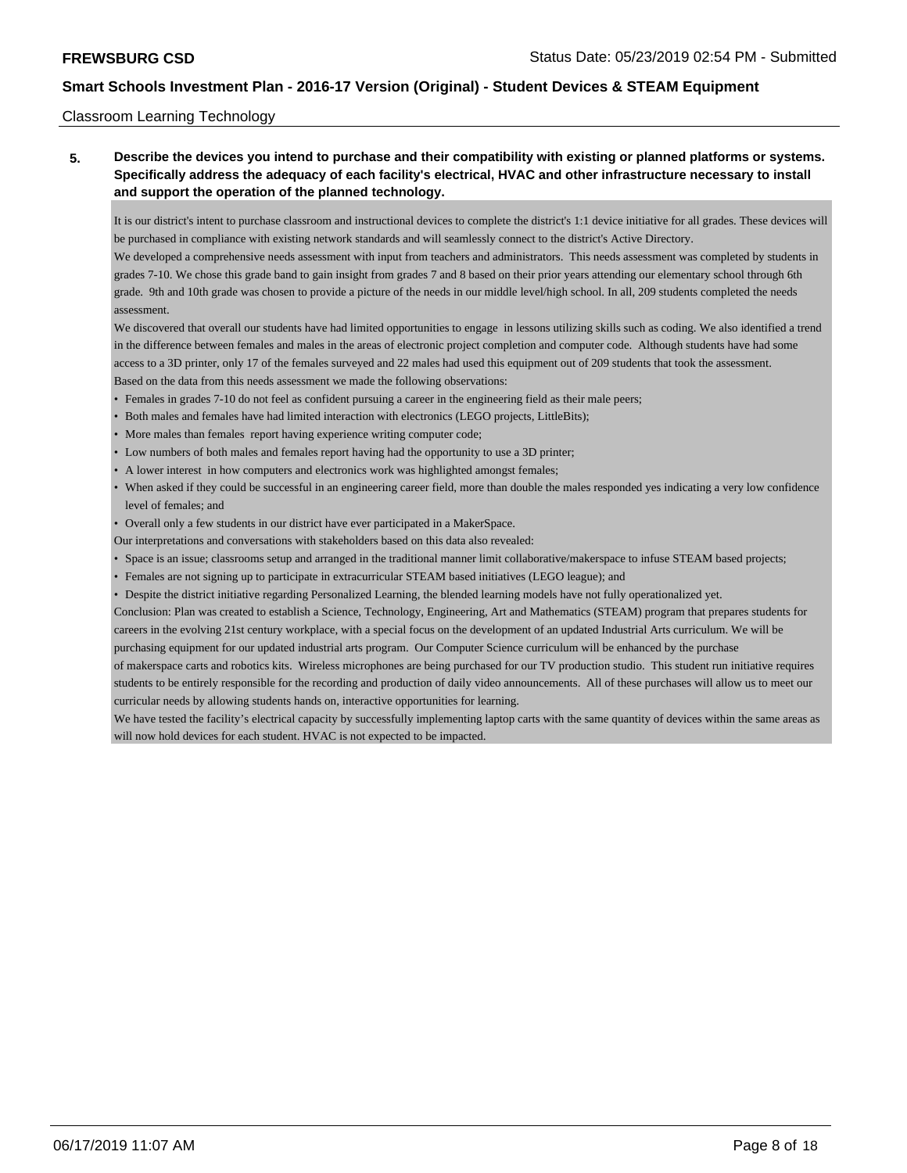#### Classroom Learning Technology

## **5. Describe the devices you intend to purchase and their compatibility with existing or planned platforms or systems. Specifically address the adequacy of each facility's electrical, HVAC and other infrastructure necessary to install and support the operation of the planned technology.**

It is our district's intent to purchase classroom and instructional devices to complete the district's 1:1 device initiative for all grades. These devices will be purchased in compliance with existing network standards and will seamlessly connect to the district's Active Directory.

We developed a comprehensive needs assessment with input from teachers and administrators. This needs assessment was completed by students in grades 7-10. We chose this grade band to gain insight from grades 7 and 8 based on their prior years attending our elementary school through 6th grade. 9th and 10th grade was chosen to provide a picture of the needs in our middle level/high school. In all, 209 students completed the needs assessment.

We discovered that overall our students have had limited opportunities to engage in lessons utilizing skills such as coding. We also identified a trend in the difference between females and males in the areas of electronic project completion and computer code. Although students have had some access to a 3D printer, only 17 of the females surveyed and 22 males had used this equipment out of 209 students that took the assessment. Based on the data from this needs assessment we made the following observations:

- Females in grades 7-10 do not feel as confident pursuing a career in the engineering field as their male peers;
- Both males and females have had limited interaction with electronics (LEGO projects, LittleBits);
- More males than females report having experience writing computer code;
- Low numbers of both males and females report having had the opportunity to use a 3D printer;
- A lower interest in how computers and electronics work was highlighted amongst females;
- When asked if they could be successful in an engineering career field, more than double the males responded yes indicating a very low confidence level of females; and
- Overall only a few students in our district have ever participated in a MakerSpace.

Our interpretations and conversations with stakeholders based on this data also revealed:

- Space is an issue; classrooms setup and arranged in the traditional manner limit collaborative/makerspace to infuse STEAM based projects;
- Females are not signing up to participate in extracurricular STEAM based initiatives (LEGO league); and
- Despite the district initiative regarding Personalized Learning, the blended learning models have not fully operationalized yet.

Conclusion: Plan was created to establish a Science, Technology, Engineering, Art and Mathematics (STEAM) program that prepares students for careers in the evolving 21st century workplace, with a special focus on the development of an updated Industrial Arts curriculum. We will be purchasing equipment for our updated industrial arts program. Our Computer Science curriculum will be enhanced by the purchase

of makerspace carts and robotics kits. Wireless microphones are being purchased for our TV production studio. This student run initiative requires students to be entirely responsible for the recording and production of daily video announcements. All of these purchases will allow us to meet our curricular needs by allowing students hands on, interactive opportunities for learning.

We have tested the facility's electrical capacity by successfully implementing laptop carts with the same quantity of devices within the same areas as will now hold devices for each student. HVAC is not expected to be impacted.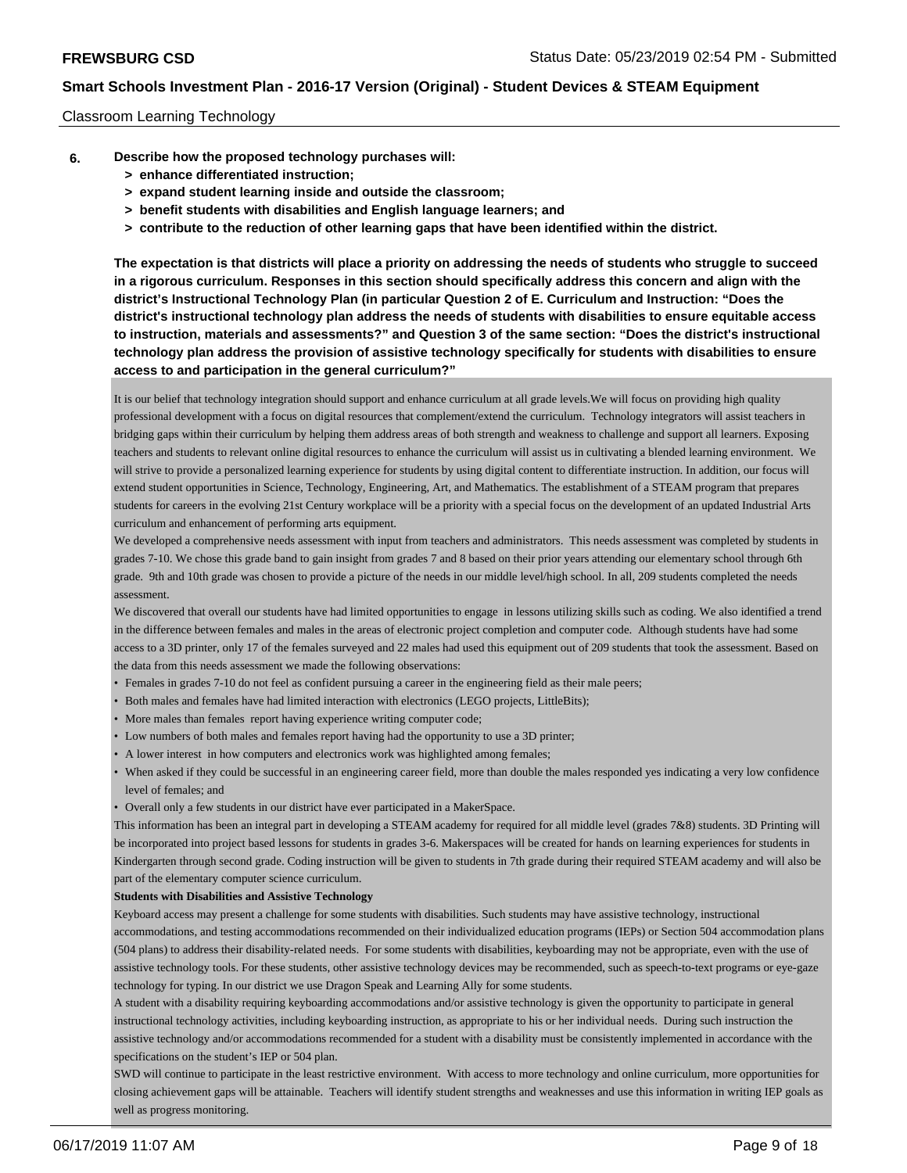#### Classroom Learning Technology

- **6. Describe how the proposed technology purchases will:**
	- **> enhance differentiated instruction;**
	- **> expand student learning inside and outside the classroom;**
	- **> benefit students with disabilities and English language learners; and**
	- **> contribute to the reduction of other learning gaps that have been identified within the district.**

**The expectation is that districts will place a priority on addressing the needs of students who struggle to succeed in a rigorous curriculum. Responses in this section should specifically address this concern and align with the district's Instructional Technology Plan (in particular Question 2 of E. Curriculum and Instruction: "Does the district's instructional technology plan address the needs of students with disabilities to ensure equitable access to instruction, materials and assessments?" and Question 3 of the same section: "Does the district's instructional technology plan address the provision of assistive technology specifically for students with disabilities to ensure access to and participation in the general curriculum?"**

It is our belief that technology integration should support and enhance curriculum at all grade levels.We will focus on providing high quality professional development with a focus on digital resources that complement/extend the curriculum. Technology integrators will assist teachers in bridging gaps within their curriculum by helping them address areas of both strength and weakness to challenge and support all learners. Exposing teachers and students to relevant online digital resources to enhance the curriculum will assist us in cultivating a blended learning environment. We will strive to provide a personalized learning experience for students by using digital content to differentiate instruction. In addition, our focus will extend student opportunities in Science, Technology, Engineering, Art, and Mathematics. The establishment of a STEAM program that prepares students for careers in the evolving 21st Century workplace will be a priority with a special focus on the development of an updated Industrial Arts curriculum and enhancement of performing arts equipment.

We developed a comprehensive needs assessment with input from teachers and administrators. This needs assessment was completed by students in grades 7-10. We chose this grade band to gain insight from grades 7 and 8 based on their prior years attending our elementary school through 6th grade. 9th and 10th grade was chosen to provide a picture of the needs in our middle level/high school. In all, 209 students completed the needs assessment.

We discovered that overall our students have had limited opportunities to engage in lessons utilizing skills such as coding. We also identified a trend in the difference between females and males in the areas of electronic project completion and computer code. Although students have had some access to a 3D printer, only 17 of the females surveyed and 22 males had used this equipment out of 209 students that took the assessment. Based on the data from this needs assessment we made the following observations:

- Females in grades 7-10 do not feel as confident pursuing a career in the engineering field as their male peers;
- Both males and females have had limited interaction with electronics (LEGO projects, LittleBits);
- More males than females report having experience writing computer code;
- Low numbers of both males and females report having had the opportunity to use a 3D printer;
- A lower interest in how computers and electronics work was highlighted among females;
- When asked if they could be successful in an engineering career field, more than double the males responded yes indicating a very low confidence level of females; and
- Overall only a few students in our district have ever participated in a MakerSpace.

This information has been an integral part in developing a STEAM academy for required for all middle level (grades 7&8) students. 3D Printing will be incorporated into project based lessons for students in grades 3-6. Makerspaces will be created for hands on learning experiences for students in Kindergarten through second grade. Coding instruction will be given to students in 7th grade during their required STEAM academy and will also be part of the elementary computer science curriculum.

#### **Students with Disabilities and Assistive Technology**

Keyboard access may present a challenge for some students with disabilities. Such students may have assistive technology, instructional accommodations, and testing accommodations recommended on their individualized education programs (IEPs) or Section 504 accommodation plans (504 plans) to address their disability-related needs. For some students with disabilities, keyboarding may not be appropriate, even with the use of assistive technology tools. For these students, other assistive technology devices may be recommended, such as speech-to-text programs or eye-gaze technology for typing. In our district we use Dragon Speak and Learning Ally for some students.

A student with a disability requiring keyboarding accommodations and/or assistive technology is given the opportunity to participate in general instructional technology activities, including keyboarding instruction, as appropriate to his or her individual needs. During such instruction the assistive technology and/or accommodations recommended for a student with a disability must be consistently implemented in accordance with the specifications on the student's IEP or 504 plan.

SWD will continue to participate in the least restrictive environment. With access to more technology and online curriculum, more opportunities for closing achievement gaps will be attainable. Teachers will identify student strengths and weaknesses and use this information in writing IEP goals as well as progress monitoring.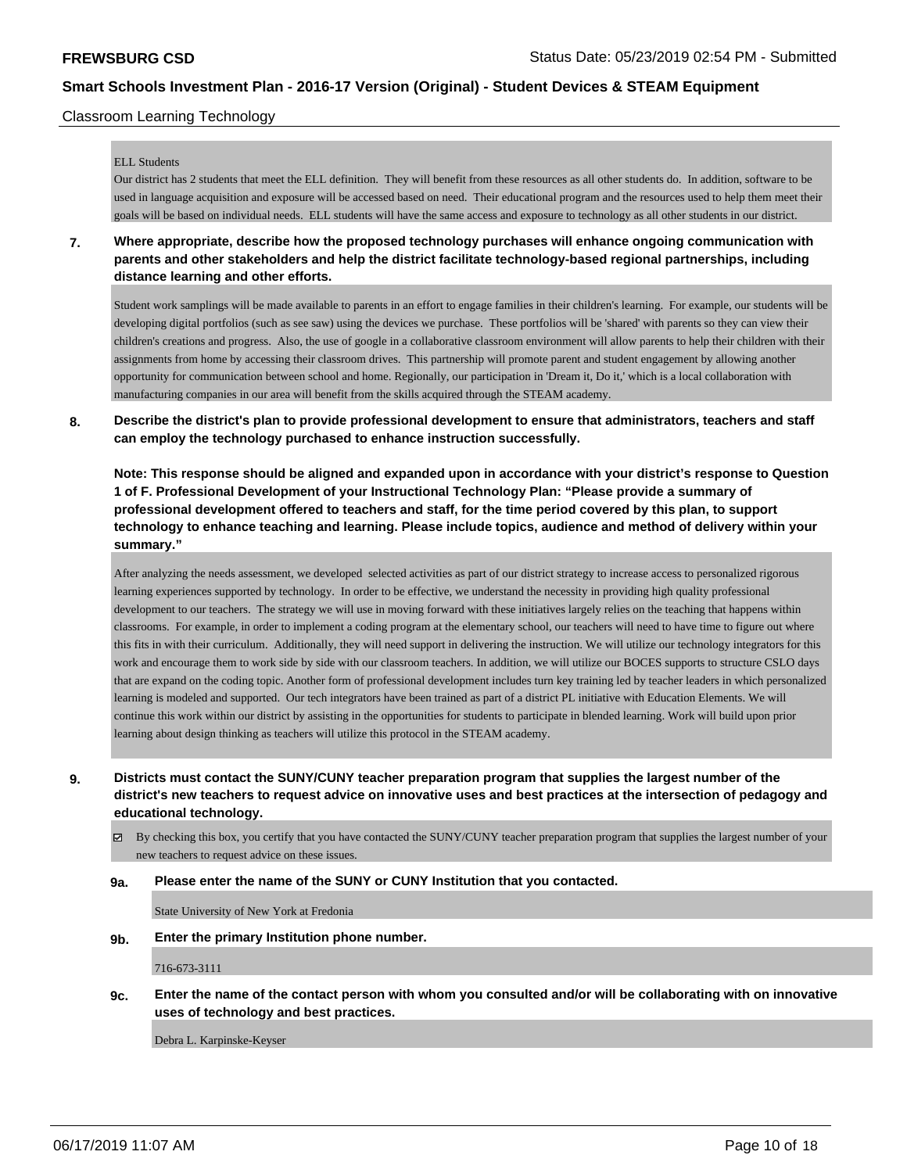#### Classroom Learning Technology

#### ELL Students

Our district has 2 students that meet the ELL definition. They will benefit from these resources as all other students do. In addition, software to be used in language acquisition and exposure will be accessed based on need. Their educational program and the resources used to help them meet their goals will be based on individual needs. ELL students will have the same access and exposure to technology as all other students in our district.

**7. Where appropriate, describe how the proposed technology purchases will enhance ongoing communication with parents and other stakeholders and help the district facilitate technology-based regional partnerships, including distance learning and other efforts.**

Student work samplings will be made available to parents in an effort to engage families in their children's learning. For example, our students will be developing digital portfolios (such as see saw) using the devices we purchase. These portfolios will be 'shared' with parents so they can view their children's creations and progress. Also, the use of google in a collaborative classroom environment will allow parents to help their children with their assignments from home by accessing their classroom drives. This partnership will promote parent and student engagement by allowing another opportunity for communication between school and home. Regionally, our participation in 'Dream it, Do it,' which is a local collaboration with manufacturing companies in our area will benefit from the skills acquired through the STEAM academy.

**8. Describe the district's plan to provide professional development to ensure that administrators, teachers and staff can employ the technology purchased to enhance instruction successfully.**

**Note: This response should be aligned and expanded upon in accordance with your district's response to Question 1 of F. Professional Development of your Instructional Technology Plan: "Please provide a summary of professional development offered to teachers and staff, for the time period covered by this plan, to support technology to enhance teaching and learning. Please include topics, audience and method of delivery within your summary."**

After analyzing the needs assessment, we developed selected activities as part of our district strategy to increase access to personalized rigorous learning experiences supported by technology. In order to be effective, we understand the necessity in providing high quality professional development to our teachers. The strategy we will use in moving forward with these initiatives largely relies on the teaching that happens within classrooms. For example, in order to implement a coding program at the elementary school, our teachers will need to have time to figure out where this fits in with their curriculum. Additionally, they will need support in delivering the instruction. We will utilize our technology integrators for this work and encourage them to work side by side with our classroom teachers. In addition, we will utilize our BOCES supports to structure CSLO days that are expand on the coding topic. Another form of professional development includes turn key training led by teacher leaders in which personalized learning is modeled and supported. Our tech integrators have been trained as part of a district PL initiative with Education Elements. We will continue this work within our district by assisting in the opportunities for students to participate in blended learning. Work will build upon prior learning about design thinking as teachers will utilize this protocol in the STEAM academy.

**9. Districts must contact the SUNY/CUNY teacher preparation program that supplies the largest number of the district's new teachers to request advice on innovative uses and best practices at the intersection of pedagogy and educational technology.**

 $\boxtimes$  By checking this box, you certify that you have contacted the SUNY/CUNY teacher preparation program that supplies the largest number of your new teachers to request advice on these issues.

#### **9a. Please enter the name of the SUNY or CUNY Institution that you contacted.**

State University of New York at Fredonia

**9b. Enter the primary Institution phone number.**

716-673-3111

**9c. Enter the name of the contact person with whom you consulted and/or will be collaborating with on innovative uses of technology and best practices.**

Debra L. Karpinske-Keyser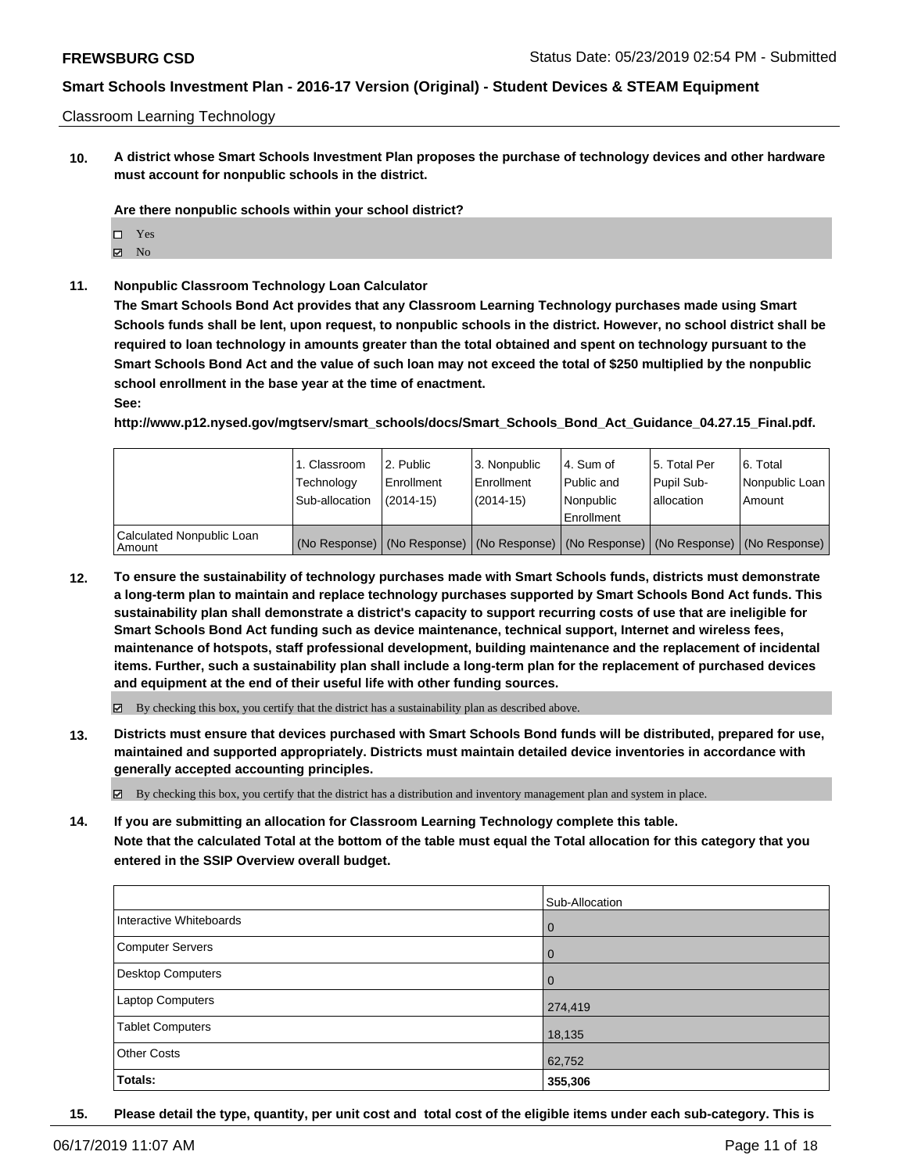#### Classroom Learning Technology

**10. A district whose Smart Schools Investment Plan proposes the purchase of technology devices and other hardware must account for nonpublic schools in the district.**

**Are there nonpublic schools within your school district?**

- □ Yes
- $\blacksquare$  No
- **11. Nonpublic Classroom Technology Loan Calculator**

**The Smart Schools Bond Act provides that any Classroom Learning Technology purchases made using Smart Schools funds shall be lent, upon request, to nonpublic schools in the district. However, no school district shall be required to loan technology in amounts greater than the total obtained and spent on technology pursuant to the Smart Schools Bond Act and the value of such loan may not exceed the total of \$250 multiplied by the nonpublic school enrollment in the base year at the time of enactment.**

**See:**

**http://www.p12.nysed.gov/mgtserv/smart\_schools/docs/Smart\_Schools\_Bond\_Act\_Guidance\_04.27.15\_Final.pdf.**

|                                     | 1. Classroom<br>Technology<br>Sub-allocation | l 2. Public<br>l Enrollment<br>$(2014 - 15)$ | 3. Nonpublic<br>Enrollment<br>$(2014-15)$ | l 4. Sum of<br>Public and<br>Nonpublic<br>Enrollment | 15. Total Per<br>Pupil Sub-<br>lallocation | 6. Total<br>Nonpublic Loan<br>Amount                                                          |
|-------------------------------------|----------------------------------------------|----------------------------------------------|-------------------------------------------|------------------------------------------------------|--------------------------------------------|-----------------------------------------------------------------------------------------------|
| Calculated Nonpublic Loan<br>Amount |                                              |                                              |                                           |                                                      |                                            | (No Response)   (No Response)   (No Response)   (No Response)   (No Response)   (No Response) |

**12. To ensure the sustainability of technology purchases made with Smart Schools funds, districts must demonstrate a long-term plan to maintain and replace technology purchases supported by Smart Schools Bond Act funds. This sustainability plan shall demonstrate a district's capacity to support recurring costs of use that are ineligible for Smart Schools Bond Act funding such as device maintenance, technical support, Internet and wireless fees, maintenance of hotspots, staff professional development, building maintenance and the replacement of incidental items. Further, such a sustainability plan shall include a long-term plan for the replacement of purchased devices and equipment at the end of their useful life with other funding sources.**

By checking this box, you certify that the district has a sustainability plan as described above.

**13. Districts must ensure that devices purchased with Smart Schools Bond funds will be distributed, prepared for use, maintained and supported appropriately. Districts must maintain detailed device inventories in accordance with generally accepted accounting principles.**

 $\boxtimes$  By checking this box, you certify that the district has a distribution and inventory management plan and system in place.

**14. If you are submitting an allocation for Classroom Learning Technology complete this table. Note that the calculated Total at the bottom of the table must equal the Total allocation for this category that you entered in the SSIP Overview overall budget.**

|                          | Sub-Allocation |
|--------------------------|----------------|
| Interactive Whiteboards  | l 0            |
| <b>Computer Servers</b>  | l 0            |
| <b>Desktop Computers</b> | l 0            |
| Laptop Computers         | 274,419        |
| <b>Tablet Computers</b>  | 18,135         |
| <b>Other Costs</b>       | 62,752         |
| Totals:                  | 355,306        |

**15. Please detail the type, quantity, per unit cost and total cost of the eligible items under each sub-category. This is**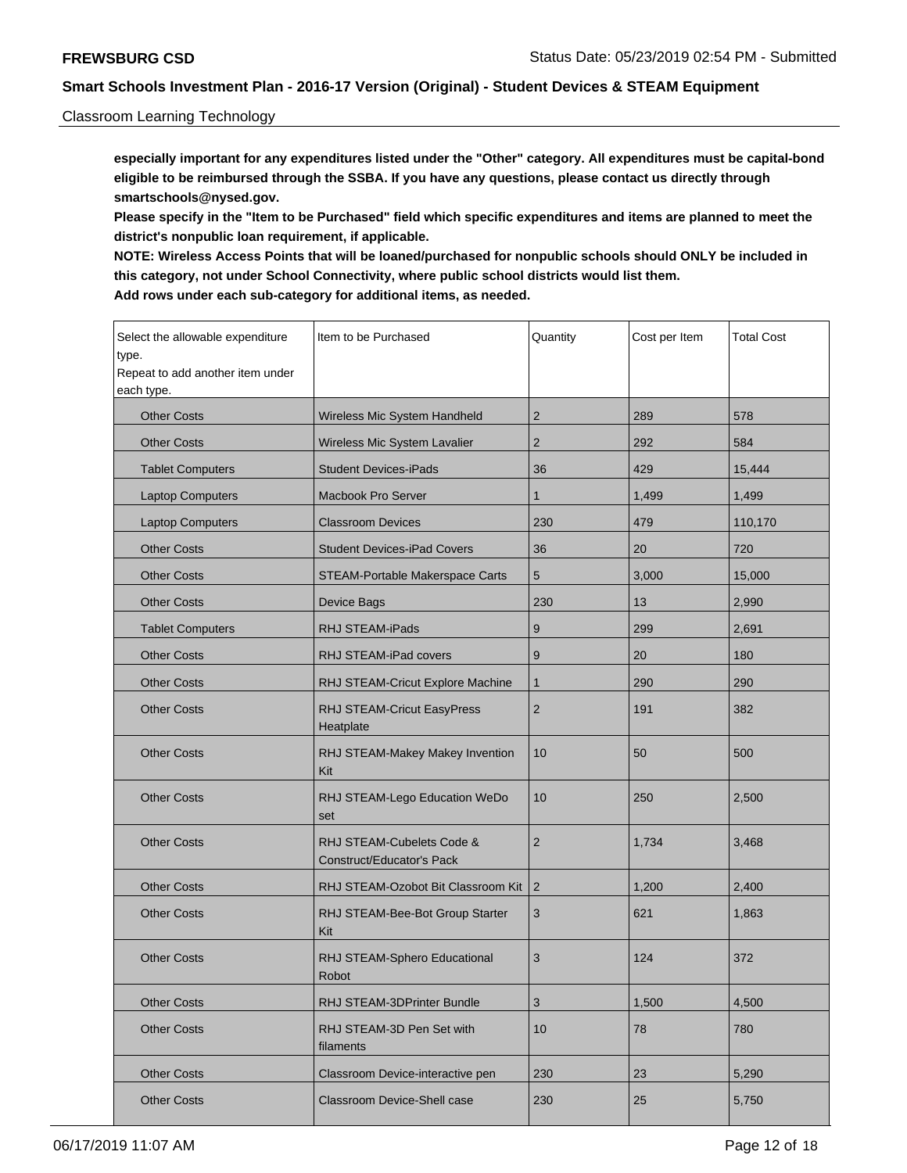#### Classroom Learning Technology

**especially important for any expenditures listed under the "Other" category. All expenditures must be capital-bond eligible to be reimbursed through the SSBA. If you have any questions, please contact us directly through smartschools@nysed.gov.**

**Please specify in the "Item to be Purchased" field which specific expenditures and items are planned to meet the district's nonpublic loan requirement, if applicable.**

**NOTE: Wireless Access Points that will be loaned/purchased for nonpublic schools should ONLY be included in this category, not under School Connectivity, where public school districts would list them. Add rows under each sub-category for additional items, as needed.**

| Select the allowable expenditure<br>type.<br>Repeat to add another item under<br>each type. | Item to be Purchased                                   | Quantity       | Cost per Item | <b>Total Cost</b> |
|---------------------------------------------------------------------------------------------|--------------------------------------------------------|----------------|---------------|-------------------|
| <b>Other Costs</b>                                                                          | Wireless Mic System Handheld                           | 2              | 289           | 578               |
| <b>Other Costs</b>                                                                          | Wireless Mic System Lavalier                           | 2              | 292           | 584               |
| <b>Tablet Computers</b>                                                                     | <b>Student Devices-iPads</b>                           | 36             | 429           | 15,444            |
| <b>Laptop Computers</b>                                                                     | <b>Macbook Pro Server</b>                              | 1              | 1,499         | 1,499             |
| <b>Laptop Computers</b>                                                                     | <b>Classroom Devices</b>                               | 230            | 479           | 110,170           |
| <b>Other Costs</b>                                                                          | <b>Student Devices-iPad Covers</b>                     | 36             | 20            | 720               |
| <b>Other Costs</b>                                                                          | STEAM-Portable Makerspace Carts                        | 5              | 3,000         | 15,000            |
| <b>Other Costs</b>                                                                          | Device Bags                                            | 230            | 13            | 2,990             |
| <b>Tablet Computers</b>                                                                     | RHJ STEAM-iPads                                        | 9              | 299           | 2,691             |
| <b>Other Costs</b>                                                                          | RHJ STEAM-iPad covers                                  | 9              | 20            | 180               |
| <b>Other Costs</b>                                                                          | RHJ STEAM-Cricut Explore Machine                       | $\mathbf{1}$   | 290           | 290               |
| <b>Other Costs</b>                                                                          | RHJ STEAM-Cricut EasyPress<br>Heatplate                | $\overline{2}$ | 191           | 382               |
| <b>Other Costs</b>                                                                          | RHJ STEAM-Makey Makey Invention<br>Kit                 | 10             | 50            | 500               |
| <b>Other Costs</b>                                                                          | RHJ STEAM-Lego Education WeDo<br>set                   | 10             | 250           | 2,500             |
| <b>Other Costs</b>                                                                          | RHJ STEAM-Cubelets Code &<br>Construct/Educator's Pack | $\sqrt{2}$     | 1,734         | 3,468             |
| <b>Other Costs</b>                                                                          | RHJ STEAM-Ozobot Bit Classroom Kit                     | $\overline{2}$ | 1,200         | 2,400             |
| <b>Other Costs</b>                                                                          | RHJ STEAM-Bee-Bot Group Starter<br>Kit                 | 3              | 621           | 1,863             |
| <b>Other Costs</b>                                                                          | RHJ STEAM-Sphero Educational<br>Robot                  | 3              | 124           | 372               |
| <b>Other Costs</b>                                                                          | RHJ STEAM-3DPrinter Bundle                             | 3              | 1,500         | 4,500             |
| <b>Other Costs</b>                                                                          | RHJ STEAM-3D Pen Set with<br>filaments                 | 10             | 78            | 780               |
| <b>Other Costs</b>                                                                          | Classroom Device-interactive pen                       | 230            | 23            | 5,290             |
| <b>Other Costs</b>                                                                          | Classroom Device-Shell case                            | 230            | 25            | 5,750             |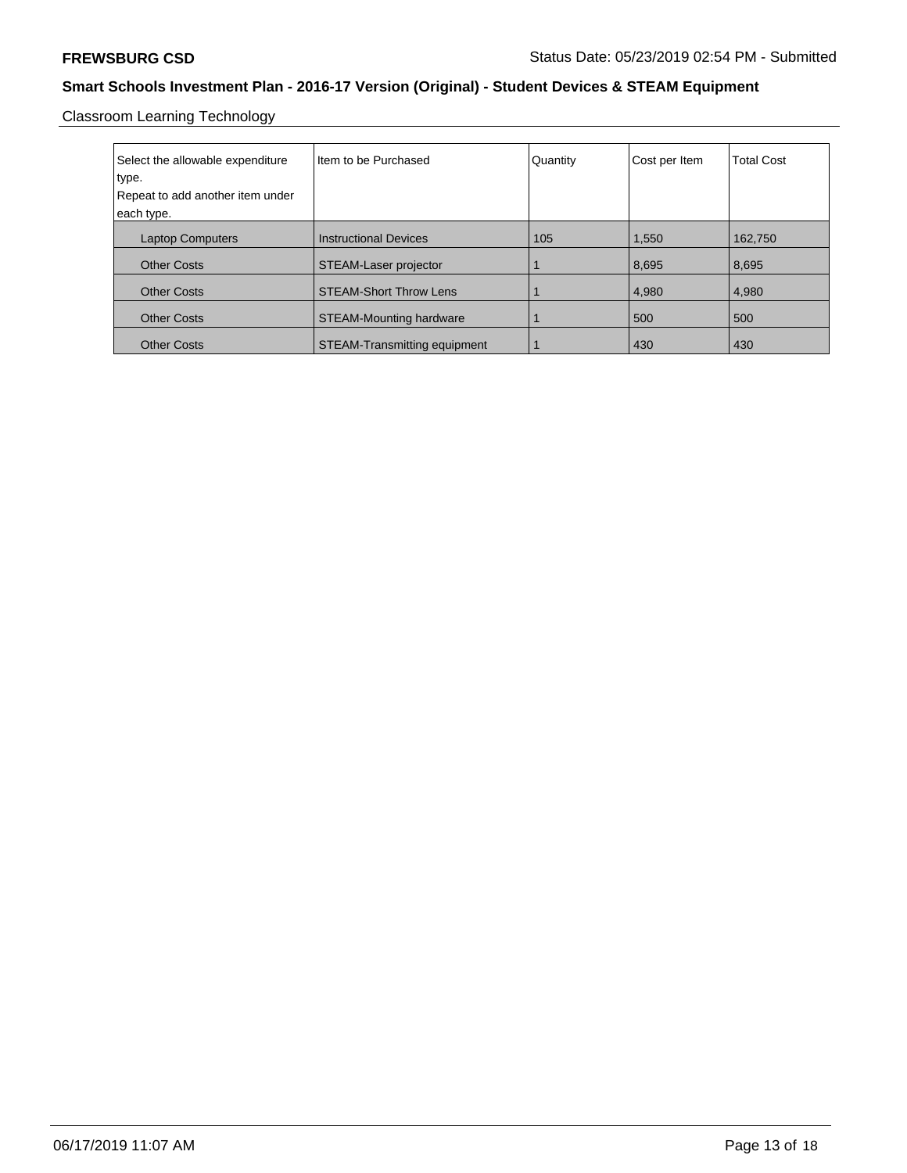Classroom Learning Technology

| Select the allowable expenditure<br>type.<br>Repeat to add another item under<br>each type. | I Item to be Purchased         | Quantity | Cost per Item | <b>Total Cost</b> |
|---------------------------------------------------------------------------------------------|--------------------------------|----------|---------------|-------------------|
| <b>Laptop Computers</b>                                                                     | <b>Instructional Devices</b>   | 105      | 1,550         | 162.750           |
| <b>Other Costs</b>                                                                          | STEAM-Laser projector          |          | 8,695         | 8,695             |
| <b>Other Costs</b>                                                                          | <b>STEAM-Short Throw Lens</b>  |          | 4,980         | 4,980             |
| <b>Other Costs</b>                                                                          | <b>STEAM-Mounting hardware</b> |          | 500           | 500               |
| <b>Other Costs</b>                                                                          | STEAM-Transmitting equipment   |          | 430           | 430               |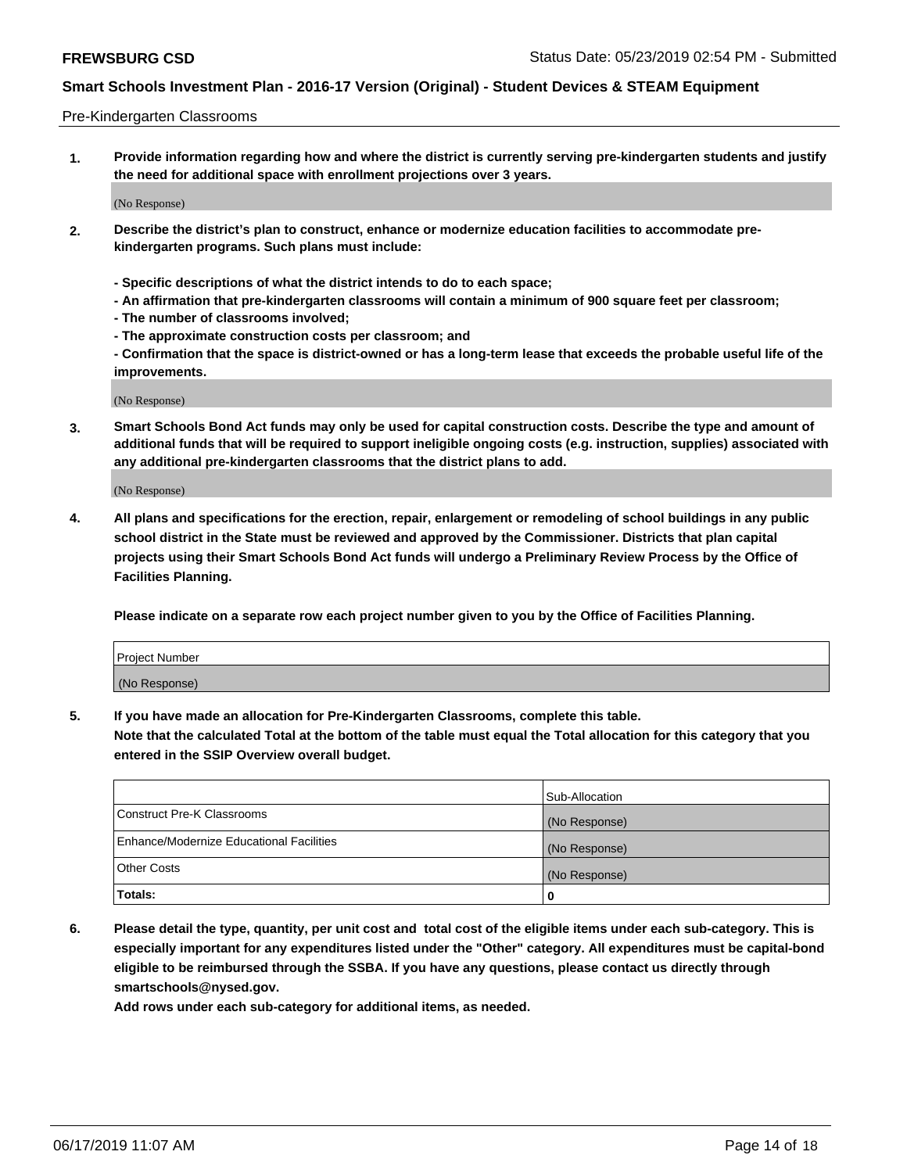#### Pre-Kindergarten Classrooms

**1. Provide information regarding how and where the district is currently serving pre-kindergarten students and justify the need for additional space with enrollment projections over 3 years.**

(No Response)

- **2. Describe the district's plan to construct, enhance or modernize education facilities to accommodate prekindergarten programs. Such plans must include:**
	- **Specific descriptions of what the district intends to do to each space;**
	- **An affirmation that pre-kindergarten classrooms will contain a minimum of 900 square feet per classroom;**
	- **The number of classrooms involved;**
	- **The approximate construction costs per classroom; and**
	- **Confirmation that the space is district-owned or has a long-term lease that exceeds the probable useful life of the improvements.**

(No Response)

**3. Smart Schools Bond Act funds may only be used for capital construction costs. Describe the type and amount of additional funds that will be required to support ineligible ongoing costs (e.g. instruction, supplies) associated with any additional pre-kindergarten classrooms that the district plans to add.**

(No Response)

**4. All plans and specifications for the erection, repair, enlargement or remodeling of school buildings in any public school district in the State must be reviewed and approved by the Commissioner. Districts that plan capital projects using their Smart Schools Bond Act funds will undergo a Preliminary Review Process by the Office of Facilities Planning.**

**Please indicate on a separate row each project number given to you by the Office of Facilities Planning.**

| Project Number |  |
|----------------|--|
| (No Response)  |  |
|                |  |

**5. If you have made an allocation for Pre-Kindergarten Classrooms, complete this table.**

**Note that the calculated Total at the bottom of the table must equal the Total allocation for this category that you entered in the SSIP Overview overall budget.**

|                                          | Sub-Allocation |
|------------------------------------------|----------------|
| Construct Pre-K Classrooms               | (No Response)  |
| Enhance/Modernize Educational Facilities | (No Response)  |
| <b>Other Costs</b>                       | (No Response)  |
| Totals:                                  | 0              |

**6. Please detail the type, quantity, per unit cost and total cost of the eligible items under each sub-category. This is especially important for any expenditures listed under the "Other" category. All expenditures must be capital-bond eligible to be reimbursed through the SSBA. If you have any questions, please contact us directly through smartschools@nysed.gov.**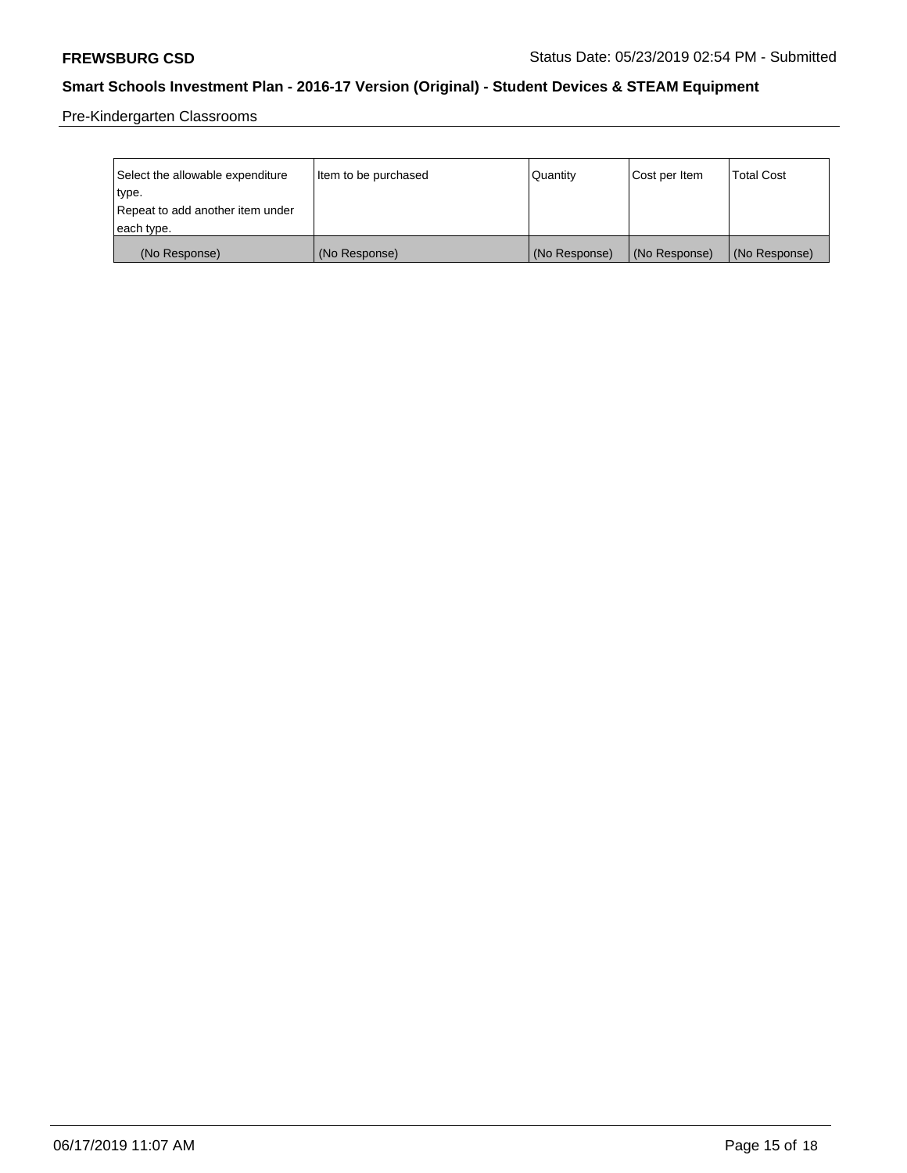Pre-Kindergarten Classrooms

| Select the allowable expenditure | Item to be purchased | Quantity      | Cost per Item | <b>Total Cost</b> |
|----------------------------------|----------------------|---------------|---------------|-------------------|
| type.                            |                      |               |               |                   |
| Repeat to add another item under |                      |               |               |                   |
| each type.                       |                      |               |               |                   |
| (No Response)                    | (No Response)        | (No Response) | (No Response) | (No Response)     |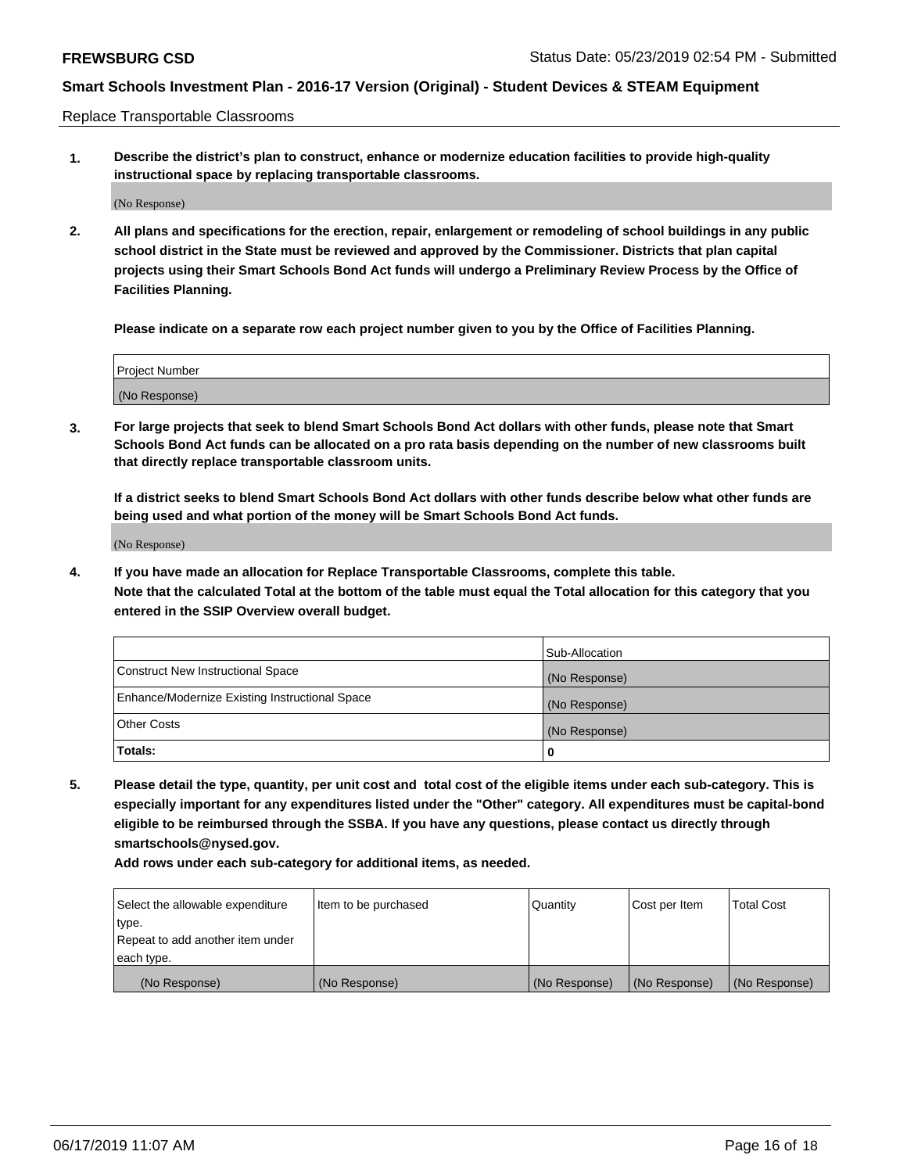Replace Transportable Classrooms

**1. Describe the district's plan to construct, enhance or modernize education facilities to provide high-quality instructional space by replacing transportable classrooms.**

(No Response)

**2. All plans and specifications for the erection, repair, enlargement or remodeling of school buildings in any public school district in the State must be reviewed and approved by the Commissioner. Districts that plan capital projects using their Smart Schools Bond Act funds will undergo a Preliminary Review Process by the Office of Facilities Planning.**

**Please indicate on a separate row each project number given to you by the Office of Facilities Planning.**

| Project Number |  |
|----------------|--|
|                |  |
| (No Response)  |  |

**3. For large projects that seek to blend Smart Schools Bond Act dollars with other funds, please note that Smart Schools Bond Act funds can be allocated on a pro rata basis depending on the number of new classrooms built that directly replace transportable classroom units.**

**If a district seeks to blend Smart Schools Bond Act dollars with other funds describe below what other funds are being used and what portion of the money will be Smart Schools Bond Act funds.**

(No Response)

**4. If you have made an allocation for Replace Transportable Classrooms, complete this table. Note that the calculated Total at the bottom of the table must equal the Total allocation for this category that you entered in the SSIP Overview overall budget.**

|                                                | Sub-Allocation |
|------------------------------------------------|----------------|
| Construct New Instructional Space              | (No Response)  |
| Enhance/Modernize Existing Instructional Space | (No Response)  |
| <b>Other Costs</b>                             | (No Response)  |
| Totals:                                        | 0              |

**5. Please detail the type, quantity, per unit cost and total cost of the eligible items under each sub-category. This is especially important for any expenditures listed under the "Other" category. All expenditures must be capital-bond eligible to be reimbursed through the SSBA. If you have any questions, please contact us directly through smartschools@nysed.gov.**

| Select the allowable expenditure | Item to be purchased | Quantity      | Cost per Item | Total Cost    |
|----------------------------------|----------------------|---------------|---------------|---------------|
| type.                            |                      |               |               |               |
| Repeat to add another item under |                      |               |               |               |
| each type.                       |                      |               |               |               |
| (No Response)                    | (No Response)        | (No Response) | (No Response) | (No Response) |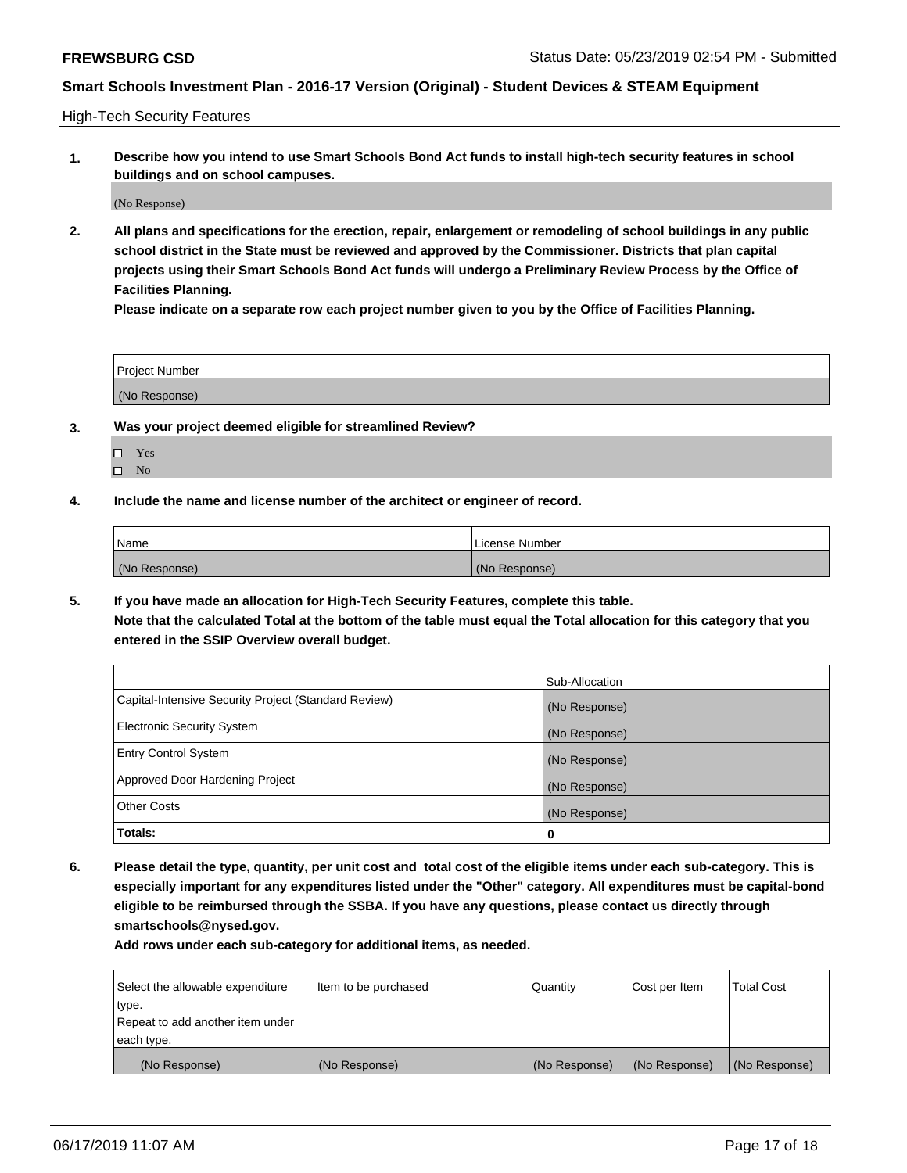High-Tech Security Features

**1. Describe how you intend to use Smart Schools Bond Act funds to install high-tech security features in school buildings and on school campuses.**

(No Response)

**2. All plans and specifications for the erection, repair, enlargement or remodeling of school buildings in any public school district in the State must be reviewed and approved by the Commissioner. Districts that plan capital projects using their Smart Schools Bond Act funds will undergo a Preliminary Review Process by the Office of Facilities Planning.** 

**Please indicate on a separate row each project number given to you by the Office of Facilities Planning.**

| <b>Project Number</b> |  |
|-----------------------|--|
| (No Response)         |  |

- **3. Was your project deemed eligible for streamlined Review?**
	- Yes
	- $\square$  No
- **4. Include the name and license number of the architect or engineer of record.**

| <b>Name</b>   | License Number |
|---------------|----------------|
| (No Response) | (No Response)  |

**5. If you have made an allocation for High-Tech Security Features, complete this table.**

**Note that the calculated Total at the bottom of the table must equal the Total allocation for this category that you entered in the SSIP Overview overall budget.**

|                                                      | Sub-Allocation |
|------------------------------------------------------|----------------|
| Capital-Intensive Security Project (Standard Review) | (No Response)  |
| <b>Electronic Security System</b>                    | (No Response)  |
| <b>Entry Control System</b>                          | (No Response)  |
| Approved Door Hardening Project                      | (No Response)  |
| <b>Other Costs</b>                                   | (No Response)  |
| Totals:                                              | 0              |

**6. Please detail the type, quantity, per unit cost and total cost of the eligible items under each sub-category. This is especially important for any expenditures listed under the "Other" category. All expenditures must be capital-bond eligible to be reimbursed through the SSBA. If you have any questions, please contact us directly through smartschools@nysed.gov.**

| Select the allowable expenditure | Item to be purchased | Quantity      | Cost per Item | <b>Total Cost</b> |
|----------------------------------|----------------------|---------------|---------------|-------------------|
| type.                            |                      |               |               |                   |
| Repeat to add another item under |                      |               |               |                   |
| each type.                       |                      |               |               |                   |
| (No Response)                    | (No Response)        | (No Response) | (No Response) | (No Response)     |